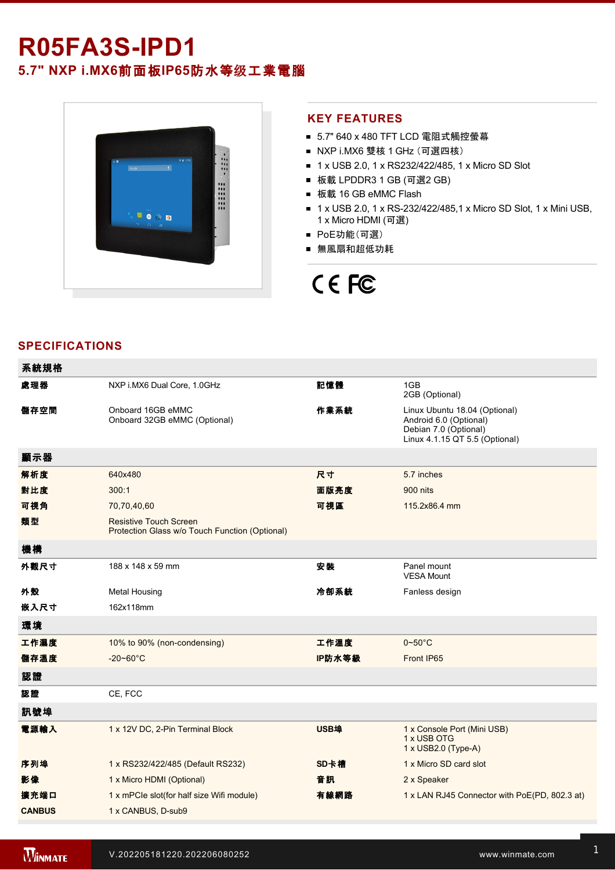# **R05FA3SIPD1**

**5.7" NXP i.MX6**前面板**IP65**防水等级工業電腦



## **KEY FEATURES**

- 5.7" 640 x 480 TFT LCD 電阻式觸控螢幕
- NXP i.MX6 雙核 1 GHz (可選四核)
- 1 x USB 2.0, 1 x RS232/422/485, 1 x Micro SD Slot
- 板載 LPDDR3 1 GB (可選2 GB)
- 板載 16 GB eMMC Flash
- 1 x USB 2.0, 1 x RS-232/422/485,1 x Micro SD Slot, 1 x Mini USB, 1 x Micro HDMI (可選)
- PoE功能(可選)
- 無風扇和超低功耗

# CE FC

## **SPECIFICATIONS**

| 系統規格          |                                                                                 |             |                                                                                                                    |  |
|---------------|---------------------------------------------------------------------------------|-------------|--------------------------------------------------------------------------------------------------------------------|--|
| 處理器           | NXP i.MX6 Dual Core, 1.0GHz                                                     | 記憶體         | 1GB<br>2GB (Optional)                                                                                              |  |
| 儲存空間          | Onboard 16GB eMMC<br>Onboard 32GB eMMC (Optional)                               | 作業系統        | Linux Ubuntu 18.04 (Optional)<br>Android 6.0 (Optional)<br>Debian 7.0 (Optional)<br>Linux 4.1.15 QT 5.5 (Optional) |  |
| 顯示器           |                                                                                 |             |                                                                                                                    |  |
| 解析度           | 640x480                                                                         | 尺寸          | 5.7 inches                                                                                                         |  |
| 對比度           | 300:1                                                                           | 面版亮度        | 900 nits                                                                                                           |  |
| 可視角           | 70,70,40,60                                                                     | 可視區         | 115.2x86.4 mm                                                                                                      |  |
| 類型            | <b>Resistive Touch Screen</b><br>Protection Glass w/o Touch Function (Optional) |             |                                                                                                                    |  |
| 機構            |                                                                                 |             |                                                                                                                    |  |
| 外觀尺寸          | 188 x 148 x 59 mm                                                               | 安裝          | Panel mount<br><b>VESA Mount</b>                                                                                   |  |
| 外殼            | <b>Metal Housing</b>                                                            | 冷卻系統        | Fanless design                                                                                                     |  |
| 嵌入尺寸          | 162x118mm                                                                       |             |                                                                                                                    |  |
| 環境            |                                                                                 |             |                                                                                                                    |  |
| 工作濕度          | 10% to 90% (non-condensing)                                                     | 工作溫度        | $0\nthicksim50^{\circ}$ C                                                                                          |  |
| 儲存溫度          | $-20 - 60^{\circ}$ C                                                            | IP防水等級      | Front IP65                                                                                                         |  |
| 認證            |                                                                                 |             |                                                                                                                    |  |
| 認證            | CE, FCC                                                                         |             |                                                                                                                    |  |
| 訊號埠           |                                                                                 |             |                                                                                                                    |  |
| 電源輸入          | 1 x 12V DC, 2-Pin Terminal Block                                                | <b>USB埠</b> | 1 x Console Port (Mini USB)<br>1 x USB OTG<br>$1 \times$ USB2.0 (Type-A)                                           |  |
| 序列埠           | 1 x RS232/422/485 (Default RS232)                                               | SD卡槽        | 1 x Micro SD card slot                                                                                             |  |
| 影像            | 1 x Micro HDMI (Optional)                                                       | 音訊          | 2 x Speaker                                                                                                        |  |
| 擴充端口          | 1 x mPCle slot(for half size Wifi module)                                       | 有線網路        | 1 x LAN RJ45 Connector with PoE(PD, 802.3 at)                                                                      |  |
| <b>CANBUS</b> | 1 x CANBUS, D-sub9                                                              |             |                                                                                                                    |  |

VESA screws